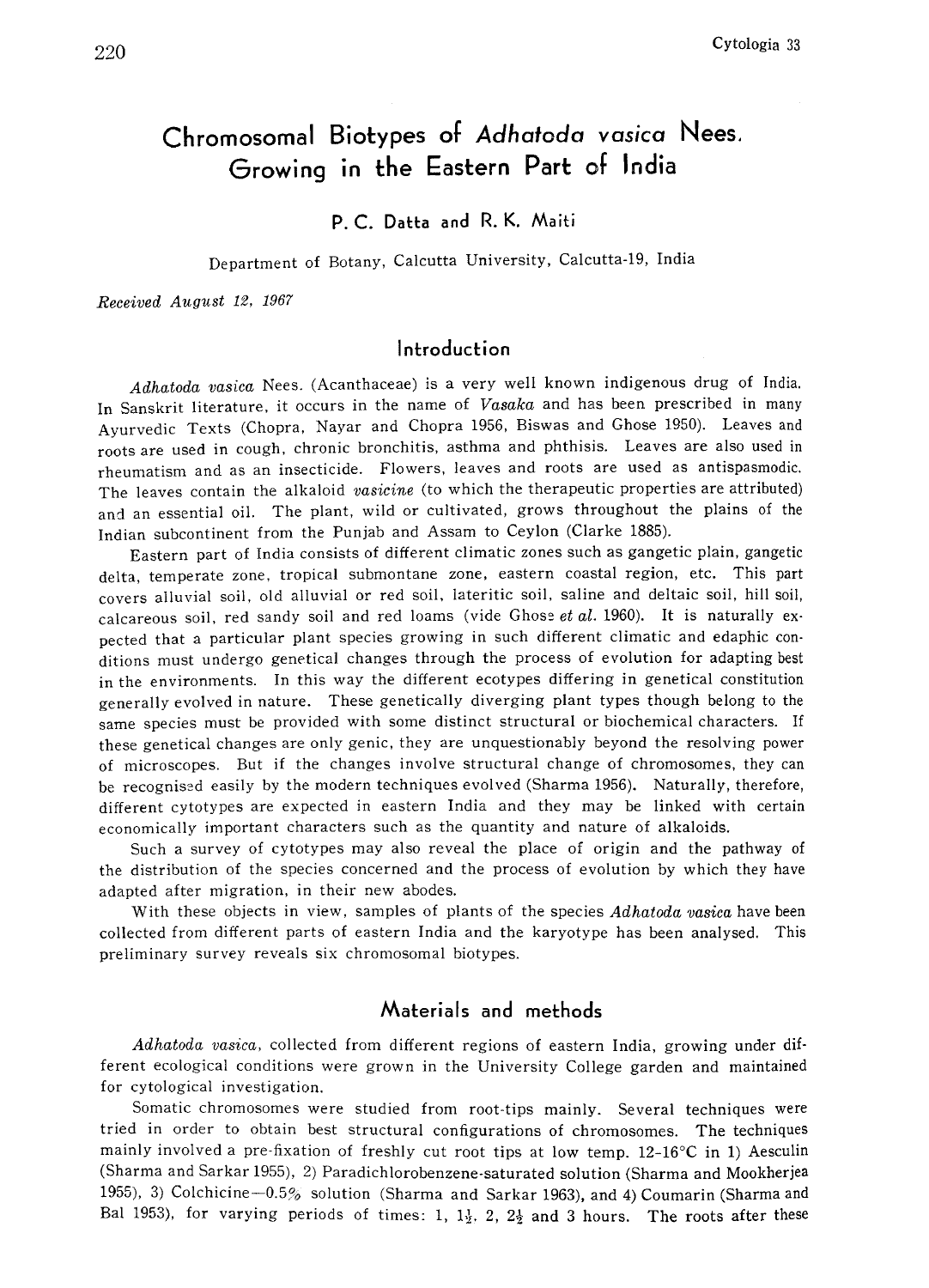# Chromosomal Biotypes of Adhatoda vasica Nees. Growing in the Eastern Part of India

P. C. Datta and R. K. Maiti

Department of Botany, Calcutta University, Calcutta-19, India

Received August 12, 1967

#### Introduction

Adhatoda vasica Nees. (Acanthaceae) is a very well known indigenous drug of India. In Sanskrit literature, it occurs in the name of Vasaka and has been prescribed in many Ayurvedic Texts (Chopra, Nayar and Chopra 1956, Biswas and Ghose 1950). Leaves and roots are used in cough, chronic bronchitis, asthma and phthisis. Leaves are also used in rheumatism and as an insecticide. Flowers, leaves and roots are used as antispasmodic. The leaves contain the alkaloid vasicine (to which the therapeutic properties are attributed) and an essential oil. The plant, wild or cultivated, grows throughout the plains of the Indian subcontinent from the Punjab and Assam to Ceylon (Clarke 1885).

Eastern part of India consists of different climatic zones such as gangetic plain, gangetic delta, temperate zone, tropical submontane zone, eastern coastal region, etc. This part covers alluvial soil, old alluvial or red soil, lateritic soil, saline and deltaic soil, hill soil, calcareous soil, red sandy soil and red loams (vide Ghose et al. 1960). It is naturally expected that a particular plant species growing in such different climatic and edaphic con ditions must undergo genetical changes through the process of evolution for adapting best in the environments. In this way the different ecotypes differing in genetical constitution generally evolved in nature. These genetically diverging plant types though belong to the same species must be provided with some distinct structural or biochemical characters. If these genetical changes are only genic, they are unquestionably beyond the resolving power of microscopes. But if the changes involve structural change of chromosomes, they can be recognised easily by the modern techniques evolved (Sharma 1956). Naturally, therefore, different cytotypes are expected in eastern India and they may be linked with certain economically important characters such as the quantity and nature of alkaloids.

Such a survey of cytotypes may also reveal the place of origin and the pathway of the distribution of the species concerned and the process of evolution by which they have adapted after migration, in their new abodes.

With these objects in view, samples of plants of the species Adhatoda vasica have been collected from different parts of eastern India and the karyotype has been analysed. This preliminary survey reveals six chromosomal biotypes.

#### Materials and methods

Adhatoda vasica, collected from different regions of eastern India, growing under different ecological conditions were grown in the University College garden and maintained for cytological investigation.

Somatic chromosomes were studied from root-tips mainly. Several techniques were tried in order to obtain best structural configurations of chromosomes. The techniques mainly involved a pre-fixation of freshly cut root tips at low temp.  $12-16\degree C$  in 1) Aesculin (Sharma and Sarkar 1955), 2) Paradichlorobenzene-saturated solution (Sharma and Mookherjea 1955), 3) Colchicine-0.5% solution (Sharma and Sarkar 1963) , and 4) Coumarin (Sharma and Bal 1953), for varying periods of times: 1, 1 $\frac{1}{2}$ , 2, 2 $\frac{1}{2}$  and 3 hours. The roots after the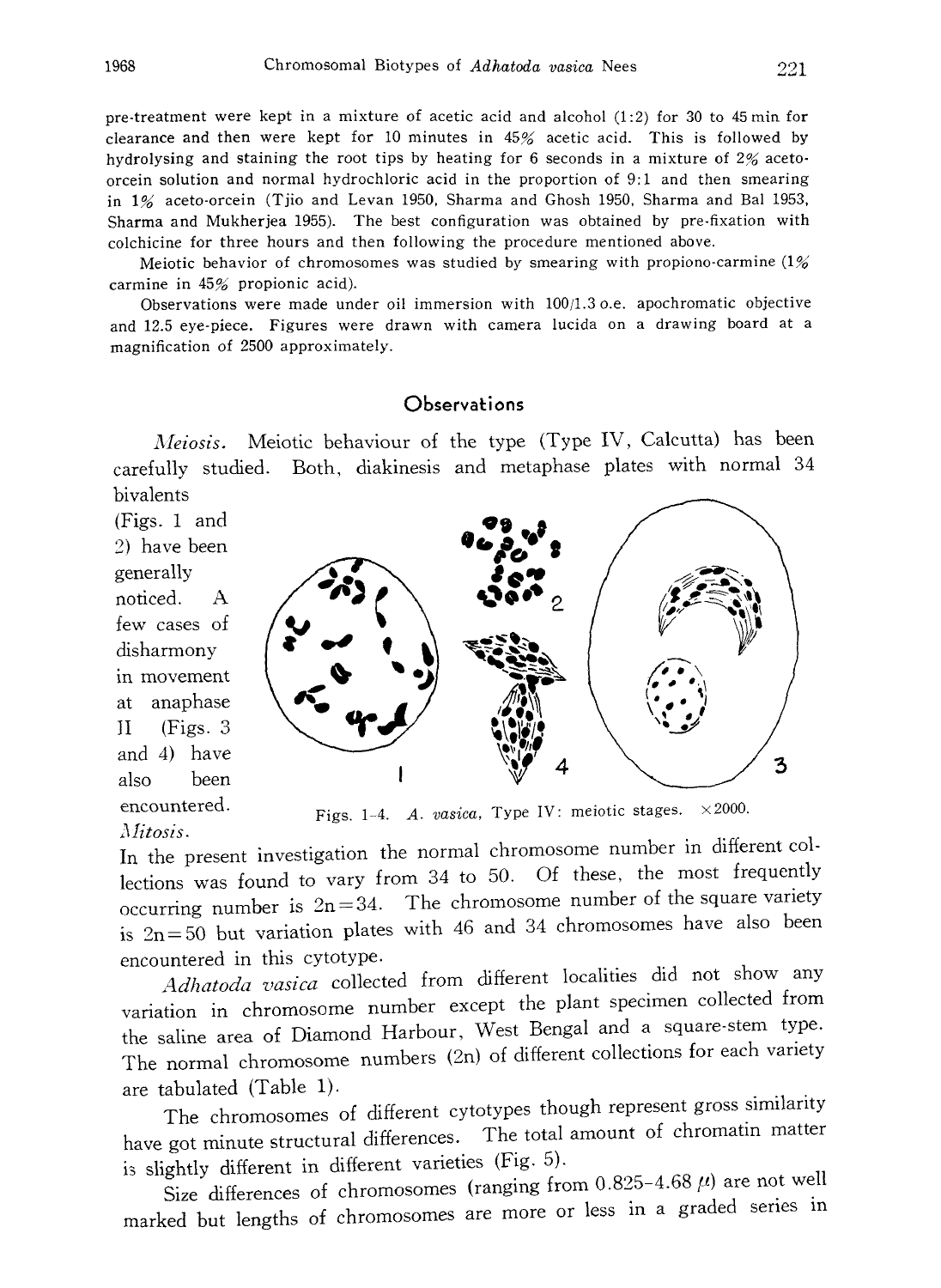pre-treatment were kept in a mixture of acetic acid and alcohol (1:2) for 30 to 45min for clearance and then were kept for 10 minutes in 45% acetic acid. This is followed by hydrolysing and staining the root tips by heating for 6 seconds in a mixture of 2% aceto orcein solution and normal hydrochloric acid in the proportion of 9:1 and then smearing in 1% aceto-orcein (Tjio and Levan 1950, Sharma and Ghosh 1950, Sharma and Bal 1953, Sharma and Mukherjea 1955). The best configuration was obtained by pre-fixation with colchicine for three hours and then following the procedure mentioned above.

Meiotic behavior of chromosomes was studied by smearing with propiono-carmine (1% carmine in 45% propionic acid).

Observations were made under oil immersion with 100/1.3 o.e. apochromatic objective and 12.5 eye-piece. Figures were drawn with camera lucida on a drawing board at a magnification of 2500 approximately.

## **Observations**

Meiosis. Meiotic behaviour of the type (Type IV, Calcutta) has been carefully studied. Both, diakinesis and metaphase plates with normal 34 bivalents

(Figs. 1 and 2) have been generally noticed. A few cases of disharmony in movement at anaphase II (Figs. 3 and 4) have also been encountered. Mitosis.



Figs. 1-4. A. vasica, Type IV: meiotic stages.  $\times$  2000.

In the present investigation the normal chromosome number in different col lections was found to vary from 34 to 50. Of these, the most frequently occurring number is  $2n=34$ . The chromosome number of the square variety is  $2n=50$  but variation plates with 46 and 34 chromosomes have also been encountered in this cytotype.

Adhatoda vasica collected from different localities did not show any variation in chromosome number except the plant specimen collected from the saline area of Diamond Harbour, West Bengal and a square-stem type. The normal chromosome numbers (2n) of different collections for each variety are tabulated (Table 1).

The chromosomes of different cytotypes though represent gross similarity have got minute structural differences. The total amount of chromatin matter is slightly different in different varieties (Fig. 5).

Size differences of chromosomes (ranging from  $0.825-4.68 \mu$ ) are not well marked but lengths of chromosomes are more or less in a graded series in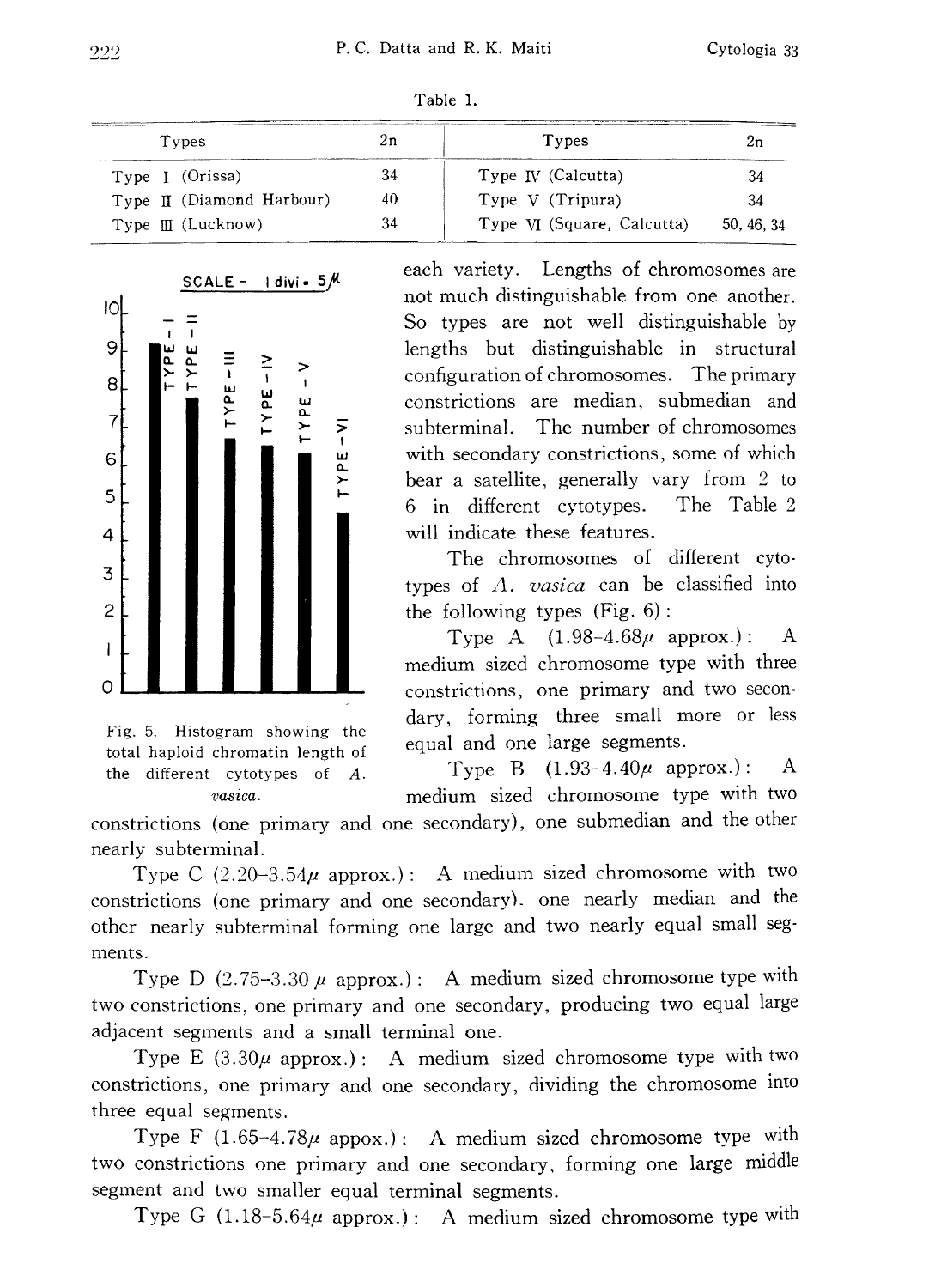| Types                     | and the following property countries and design account of all definitions are as<br>zn | Types                        | zn         |
|---------------------------|-----------------------------------------------------------------------------------------|------------------------------|------------|
| Type I (Orissa)           | 34                                                                                      | Type $\mathbb{N}$ (Calcutta) |            |
| Type II (Diamond Harbour) | 40                                                                                      | Type V (Tripura)             |            |
| $Type III$ (Lucknow)      |                                                                                         | Type VI (Square, Calcutta)   | 50, 46, 34 |





SCALE - Idivi =  $5/M$ 

Fig. 5. Histogram showing the total haploid chromatin length of the different cytotypes of A. vasica.

each variety. Lengths of chromosomes are not much distinguishable from one another. So types are not well distinguishable by lengths but distinguishable in structural configuration of chromosomes. The primary constrictions are median, submedian and subterminal. The number of chromosomes with secondary constrictions, some of which bear a satellite, generally vary from 2 to 6 in different cytotypes. The Table 2 will indicate these features.

The chromosomes of different cyto types of A. vasica can be classified into the following types (Fig. 6):

Type A  $(1.98-4.68\mu$  approx.): A medium sized chromosome type with three constrictions, one primary and two secon dary, forming three small more or less equal and one large segments.

Type B  $(1.93-4.40\mu$  approx.): A medium sized chromosome type with two

constrictions (one primary and one secondary), one submedian and the other nearly subterminal.

Type C  $(2.20-3.54\mu$  approx.): A medium sized chromosome with two constrictions (one primary and one secondary). one nearly median and the other nearly subterminal forming one large and two nearly equal small seg ments.

Type D (2.75-3.30  $\mu$  approx.): A medium sized chromosome type with two constrictions, one primary and one secondary, producing two equal large adjacent segments and a small terminal one.

Type E  $(3.30\mu$  approx.): A medium sized chromosome type with two constrictions, one primary and one secondary, dividing the chromosome into three equal segments.

Type F  $(1.65-4.78\mu$  appox.): A medium sized chromosome type with two constrictions one primary and one secondary, forming one large middle segment and two smaller equal terminal segments.

Type G  $(1.18-5.64\mu$  approx.): A medium sized chromosome type with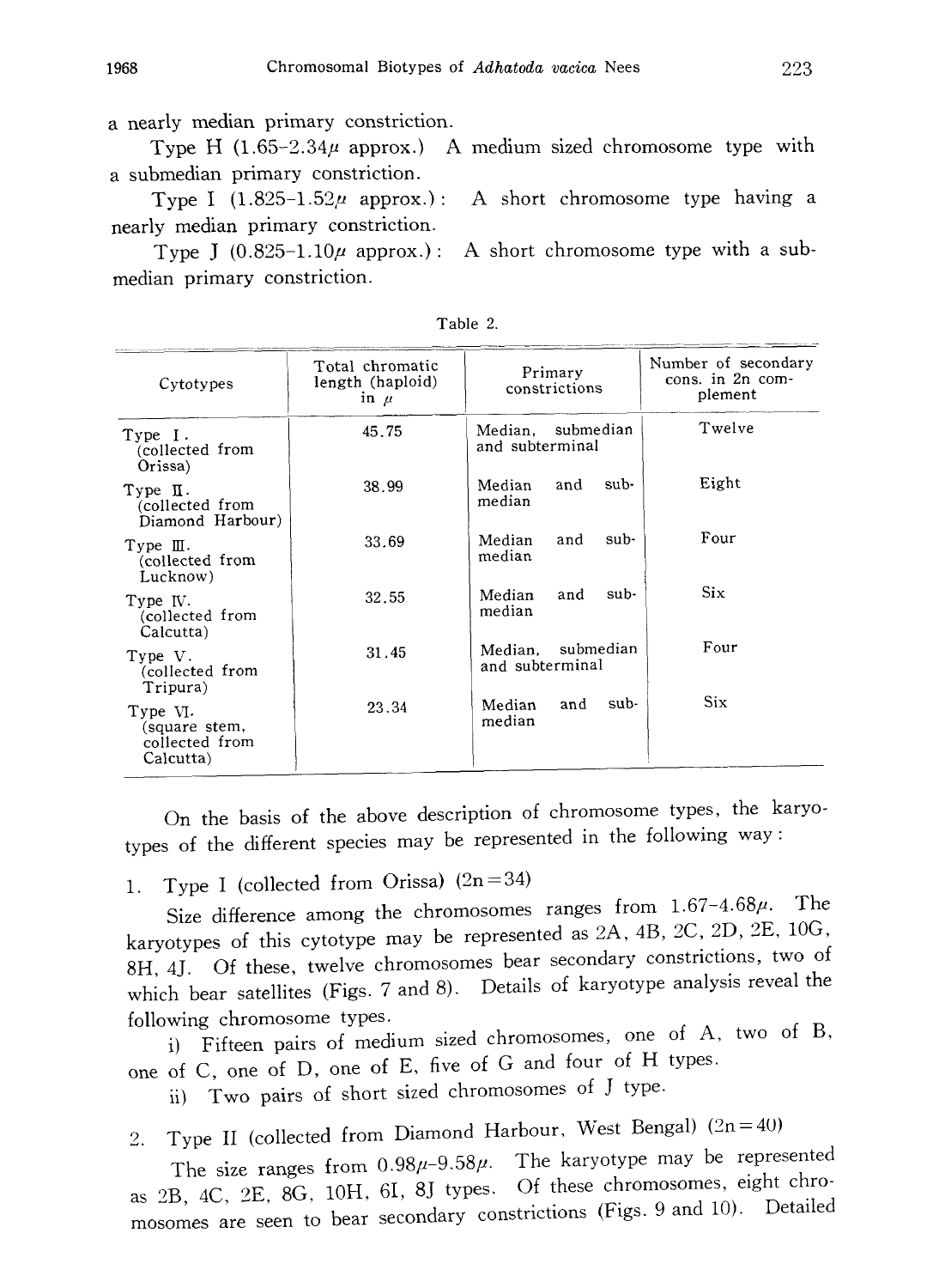a nearly median primary constriction.

Type H  $(1.65-2.34\mu)$  approx.) A medium sized chromosome type with a submedian primary constriction.

Type I (1.825-1.52 $\mu$  approx.): A short chromosome type having a nearly median primary constriction.

Type J  $(0.825-1.10\mu$  approx.): A short chromosome type with a submedian primary constriction.

| Cytotypes                                                | Total chromatic<br>length (haploid)<br>in $\mu$ | Primary<br>constrictions             | Number of secondary<br>cons. in 2n com-<br>plement |
|----------------------------------------------------------|-------------------------------------------------|--------------------------------------|----------------------------------------------------|
| Type I.<br>(collected from<br>Orissa)                    | 45.75                                           | Median, submedian<br>and subterminal | Twelve                                             |
| Type II.<br>(collected from<br>Diamond Harbour)          | 38.99                                           | and<br>sub-<br>Median.<br>median     | Eight                                              |
| Type $\mathbb{II}$ .<br>collected from)<br>Lucknow)      | 33.69                                           | sub-<br>and<br>Median<br>median      | Four                                               |
| Type IV.<br>collected from<br>Calcutta)                  | 32.55                                           | Median<br>sub-<br>and<br>median      | Six.                                               |
| Type V.<br>collected from)<br>Tripura)                   | 31.45                                           | Median, submedian<br>and subterminal | Four                                               |
| Type VI.<br>(square stem,<br>collected from<br>Calcutta) | 23.34                                           | and<br>sub-<br>Median<br>median      | Six.                                               |

Table 2.

On the basis of the above description of chromosome types, the karyo types of the different species may be represented in the following way:

1. Type I (collected from Orissa)  $(2n=34)$ 

Size difference among the chromosomes ranges from  $1.67-4.68\mu$ . The karyotypes of this cytotype may be represented as 2A, 4B, 2C, 2D, 2E, 10G, 8H, 4J. Of these, twelve chromosomes bear secondary constrictions, two of which bear satellites (Figs. 7 and 8). Details of karyotype analysis reveal the following chromosome types.

i) Fifteen pairs of medium sized chromosomes, one of A, two of B, one of C, one of D, one of E, five of G and four of H types.

ii) Two pairs of short sized chromosomes of J type.

2. Type II (collected from Diamond Harbour, West Bengal)  $(2n=40)$ 

The size ranges from  $0.98\mu$ -9.58 $\mu$ . The karyotype may be represented as 2B, 4C, 2E, 8G, 10H, 6I, 8J types. Of these chromosomes, eight chro mosomes are seen to bear secondary constrictions (Figs. 9 and 10). Detailed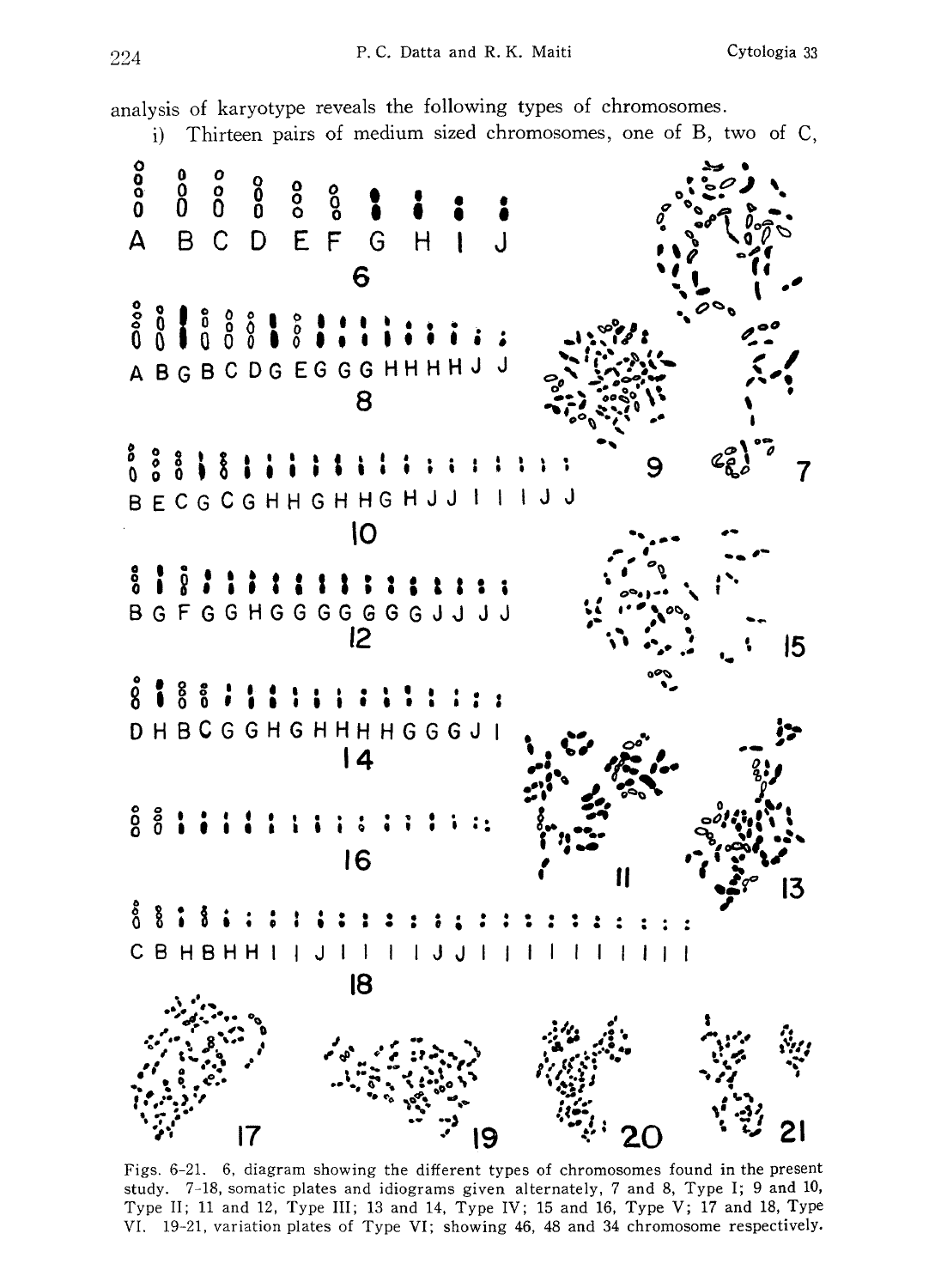analysis of karyotype reveals the following types of chromosomes.

i) Thirteen pairs of medium sized chromosomes, one of B, two of C,



Figs. 6-21. 6, diagram showing the different types of chromosomes found in the present study. 7-18, somatic plates and idiograms given alternately, 7 and 8, Type I; 9 and 10, Type II; 11 and 12, Type III; 13 and 14, Type IV; 15 and 16, Type V; 17 and 18, Type VI. 19-21, variation plates of Type VI; showing 46, 48 and 34 chromosome respectively.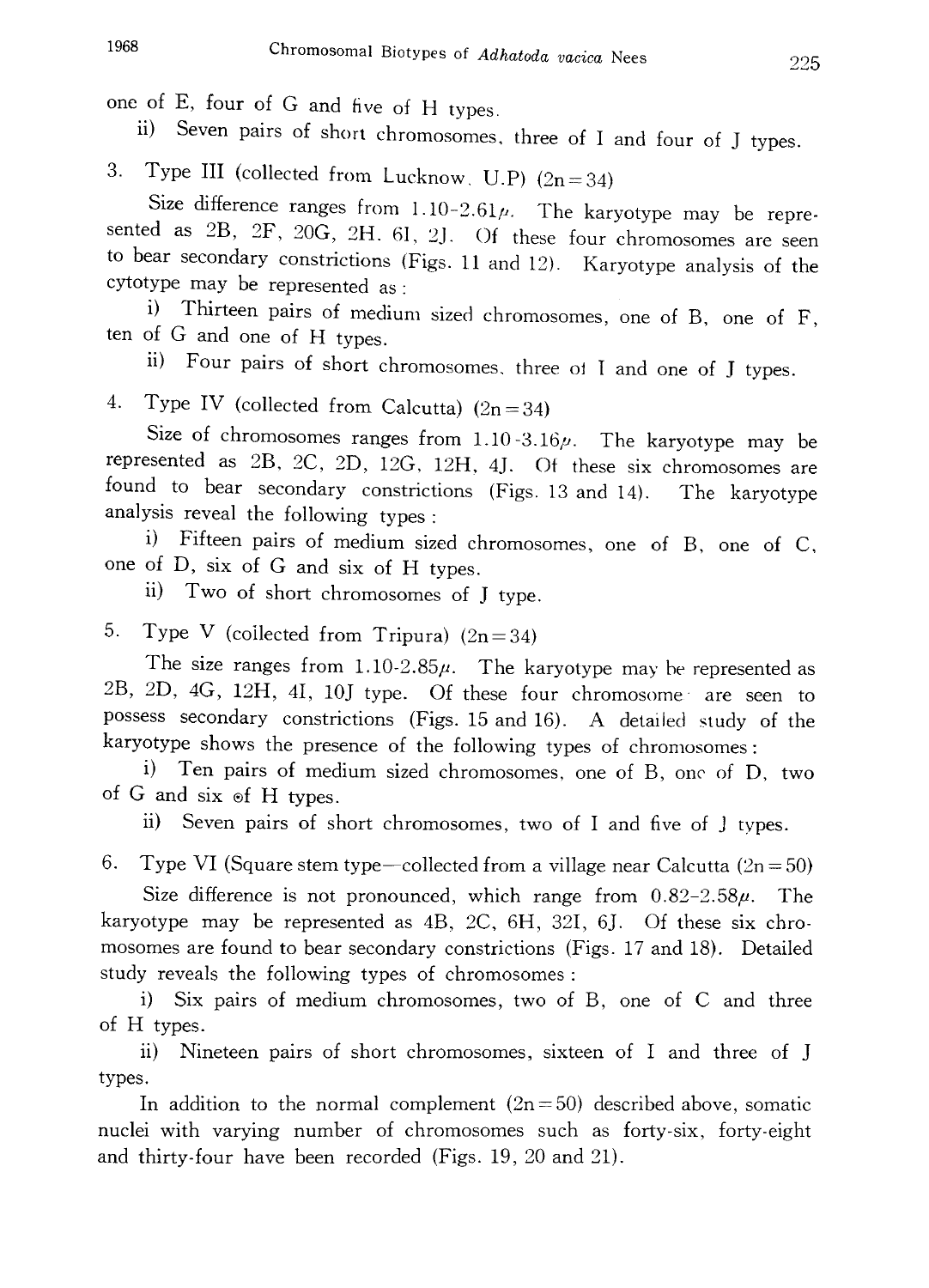one of E, four of G and five of H types .

11) Seven pairs of short chromosomes, three of I and four of I type

3. Type III (collected from Lucknow, U.P)  $(2n+34)$ 

Size difference ranges from  $1.10-2.61\mu$ . The karyotype may be represented sented as  $2B$ ,  $2F$ ,  $20G$ ,  $2H$ ,  $6I$ ,  $2J$ . Of these four chromosomes are seen to bear secondary constrictions (Figs . 11 and 12). Karyotype analysis of the cytotype may be represented as:

i) Thirteen pairs of medium sized chromosomes , one of B, one of F, ten of G and one of H types .

<sup>11)</sup> Four pairs of short chromosomes, three of I and one of I type

4. Type IV (collected from Calcutta)  $(2n=34)$ 

Size of chromosomes ranges from  $1.10 - 3.16\mu$ . The karyotype may be represented as 2B, 2C, 2D , 12G, 12H, 4J. Of these six chromosomes are found to bear secondary constrictions (Figs. 13 and 14). The karyo analysis reveal the following types:

i) Fifteen pairs of medium sized chromosomes , one of B, one of C, one of D, six of G and six of H types .

ii) Two of short chromosomes of J type .

5. Type V (collected from Tripura)  $(2n=34)$ 

The size ranges from  $1.10-2.85\mu$ . The karyotype may be represented as 2B, 2D, 4G, 12H , 4I, 10J type. Of these four chromosome are seen to possess secondary constrictions (Figs. 15 and 16). A detailed study of the karyotype shows the presence of the following types of chromosomes:

i) Ten pairs of medium sized chromosomes , one of B, one of D, two of G and six of H types .

ii) Seven pairs of short chromosomes, two of I and five of j types.

6. Type VI (Square stem type—collected from a village near Calcutta  $(2n=50)$ 

Size difference is not pronounced, which range from  $0.82-2.58\mu$ . The karyotype may be represented as 4B, 2C, 6H, 32I, 6J. Of these six chro mosomes are found to bear secondary constrictions (Figs. 17 and 18). Detailed study reveals the following types of chromosomes:

i) Six pairs of medium chromosomes, two of B, one of C and three of H types.

ii) Nineteen pairs of short chromosomes, sixteen of I and three of J types.

In addition to the normal complement  $(2n=50)$  described above, somatic nuclei with varying number of chromosomes such as forty-six, forty-eight and thirty-four have been recorded (Figs. 19, 20 and 21).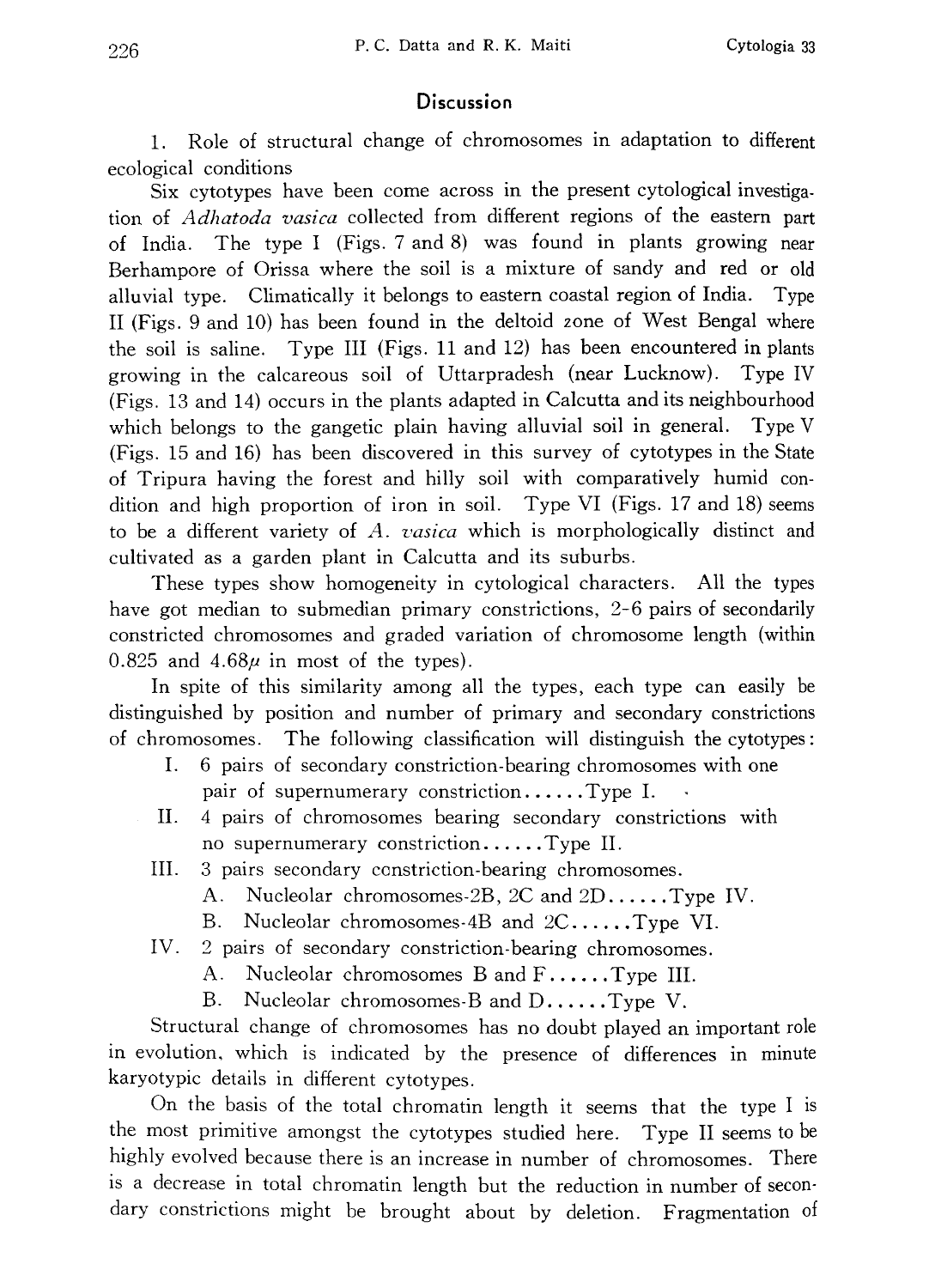## **Discussion**

1. Role of structural change of chromosomes in adaptation to different ecological conditions

Six cytotypes have been come across in the present cytological investiga tion of *Adhatoda vasica* collected from different regions of the eastern part of India. The type I (Figs. 7 and 8) was found in plants growing near Berhampore of Orissa where the soil is a mixture of sandy and red or old alluvial type. Climatically it belongs to eastern coastal region of India. Type II (Figs. 9 and 10) has been found in the deltoid zone of West Bengal where the soil is saline. Type III (Figs. 11 and 12) has been encountered in plants growing in the calcareous soil of Uttarpradesh (near Lucknow). Type IV (Figs. 13 and 14) occurs in the plants adapted in Calcutta and its neighbourhood which belongs to the gangetic plain having alluvial soil in general. Type V (Figs. 15 and 16) has been discovered in this survey of cytotypes in the State of Tripura having the forest and hilly soil with comparatively humid con dition and high proportion of iron in soil. Type VI (Figs. 17 and 18) seems to be a different variety of  $A$ . vasica which is morphologically distinct and cultivated as a garden plant in Calcutta and its suburbs.

These types show homogeneity in cytological characters. All the types have got median to submedian primary constrictions, 2-6 pairs of secondarily constricted chromosomes and graded variation of chromosome length (within 0.825 and  $4.68\mu$  in most of the types).

In spite of this similarity among all the types, each type can easily be distinguished by position and number of primary and secondary constrictions of chromosomes. The following classification will distinguish the cytotypes:

- I. 6 pairs of secondary constriction-bearing chromosomes with one pair of supernumerary constriction......Type I.
- II. 4 pairs of chromosomes bearing secondary constrictions with no supernumerary constriction......Type II.
- III. 3 pairs secondary constriction-bearing chromosomes.
	- A. Nucleolar chromosomes-2B, 2C and 2D......Type IV.
	- B. Nucleolar chromosomes-4B and 2C......Type VI.
- IV. 2 pairs of secondary constriction-bearing chromosomes.
	- A. Nucleolar chromosomes B and F......Type III.
	- B. Nucleolar chromosomes-B and D......Type V.

Structural change of chromosomes has no doubt played an important role in evolution, which is indicated by the presence of differences in minute karyotypic details in different cytotypes.

On the basis of the total chromatin length it seems that the type I is the most primitive amongst the cytotypes studied here. Type II seems to be highly evolved because there is an increase in number of chromosomes. There is a decrease in total chromatin length but the reduction in number of secon dary constrictions might be brought about by deletion. Fragmentation of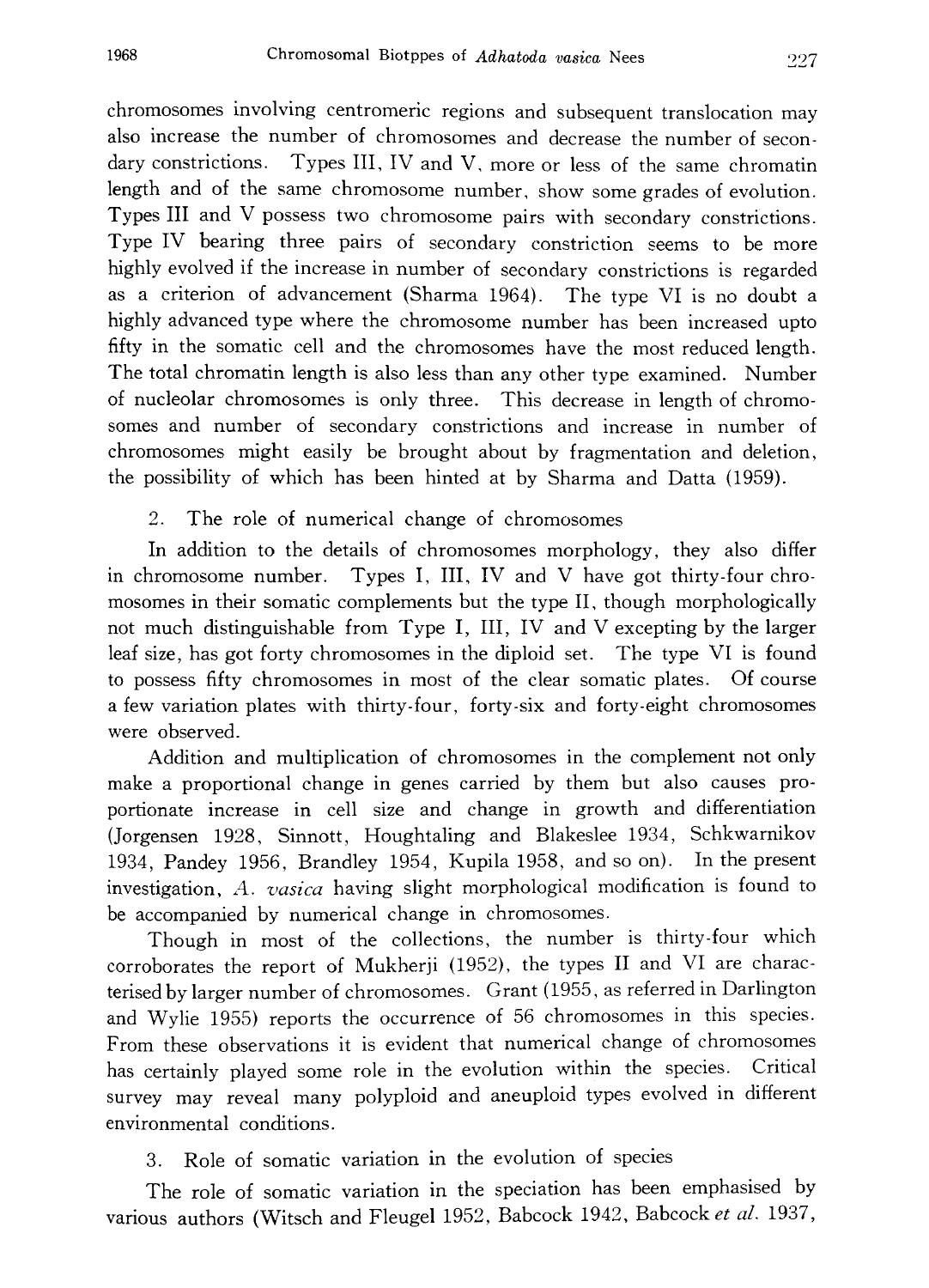chromosomes involving centromeric regions and subsequent translocation may also increase the number of chromosomes and decrease the number of secon dary constrictions. Types III, IV and V, more or less of the same chromatin length and of the same chromosome number, show some grades of evolution. Types III and V possess two chromosome pairs with secondary constrictions. Type IV bearing three pairs of secondary constriction seems to be more highly evolved if the increase in number of secondary constrictions is regarded as a criterion of advancement (Sharma 1964). The type VI is no doubt a highly advanced type where the chromosome number has been increased upto fifty in the somatic cell and the chromosomes have the most reduced length. The total chromatin length is also less than any other type examined. Number of nucleolar chromosomes is only three. This decrease in length of chromo somes and number of secondary constrictions and increase in number of chromosomes might easily be brought about by fragmentation and deletion, the possibility of which has been hinted at by Sharma and Datta (1959).

2. The role of numerical change of chromosomes

In addition to the details of chromosomes morphology, they also differ in chromosome number. Types I, III, IV and V have got thirty-four chro mosomes in their somatic complements but the type II, though morphologically not much distinguishable from Type I, III, IV and V excepting by the larger leaf size, has got forty chromosomes in the diploid set. The type VI is found to possess fifty chromosomes in most of the clear somatic plates. Of course a few variation plates with thirty-four, forty-six and forty-eight chromosomes were observed.

Addition and multiplication of chromosomes in the complement not only make a proportional change in genes carried by them but also causes pro portionate increase in cell size and change in growth and differentiation (Jorgensen 1928, Sinnott, Houghtaling and Blakeslee 1934, Schkwarnikov 1934, Pandey 1956, Brandley 1954, Kupila 1958, and so on). In the present investigation, A. vasica having slight morphological modification is found to be accompanied by numerical change in chromosomes.

Though in most of the collections, the number is thirty-four which corroborates the report of Mukherji (1952), the types II and VI are charac terised by larger number of chromosomes. Grant (1955, as referred in Darlington and Wylie 1955) reports the occurrence of 56 chromosomes in this species. From these observations it is evident that numerical change of chromosomes has certainly played some role in the evolution within the species. Critical survey may reveal many polyploid and aneuploid types evolved in different environmental conditions.

3. Role of somatic variation in the evolution of species

The role of somatic variation in the speciation has been emphasised by various authors (Witsch and Fleugel 1952, Babcock 1942, Babcock et al. 1937,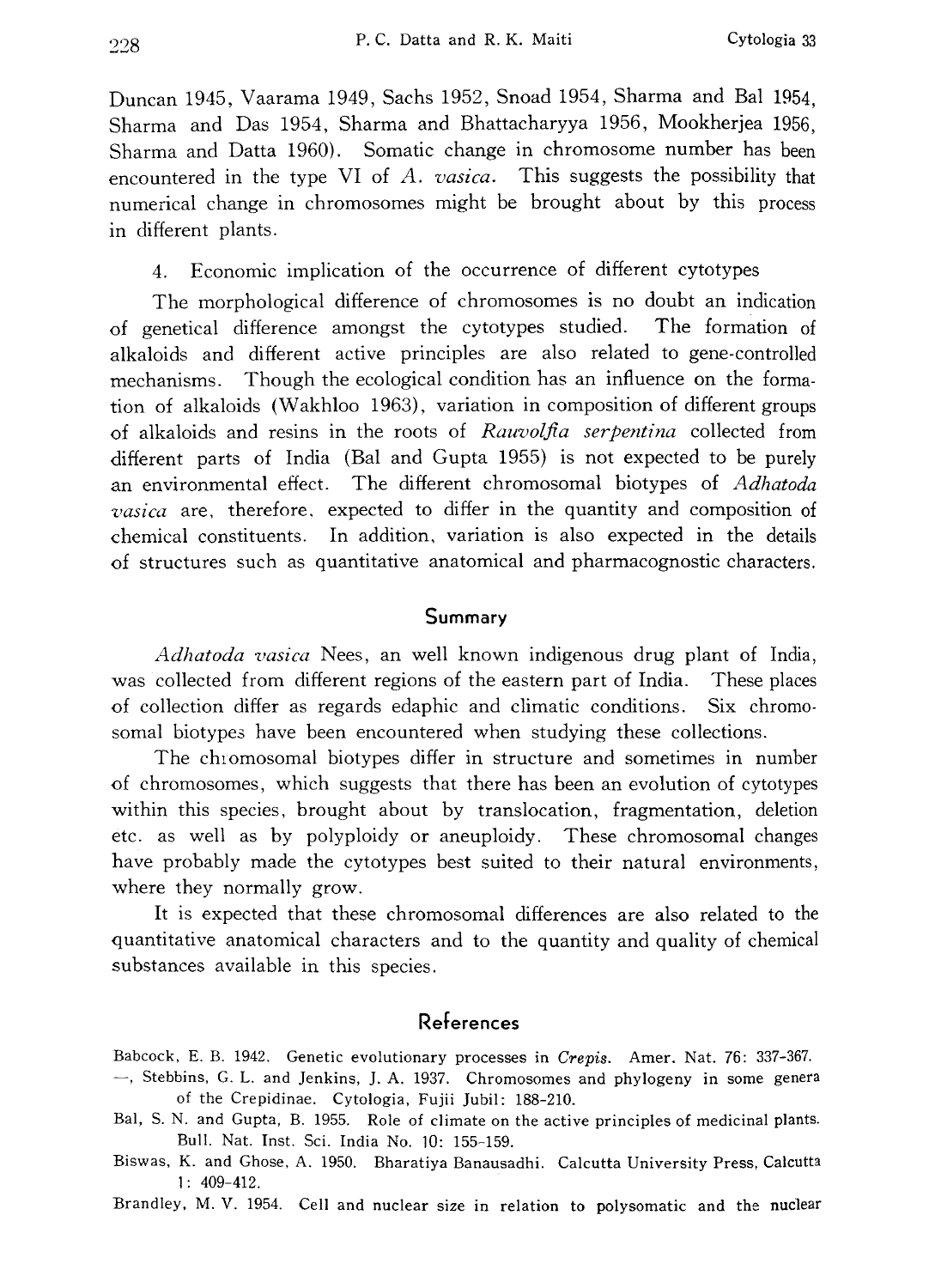Duncan 1945, Vaarama 1949, Sachs 1952, Snoad 1954, Sharma and Bal 1954, Sharma and Das 1954, Sharma and Bhattacharyya 1956, Mookherjea 1956, Sharma and Datta 1960). Somatic change in chromosome number has been encountered in the type VI of A. vasica. This suggests the possibility that numerical change in chromosomes might be brought about by this process in different plants.

4. Economic implication of the occurrence of different cytotypes

The morphological difference of chromosomes is no doubt an indication of genetical difference amongst the cytotypes studied. The formation of alkaloids and different active principles are also related to gene-controlled mechanisms. Though the ecological condition has an influence on the forma tion of alkaloids (Wakhloo 1963), variation in composition of different groups of alkaloids and resins in the roots of Rauvolfia serpentina collected from different parts of India (Bal and Gupta 1955) is not expected to be purely an environmental effect. The different chromosomal biotypes of Adhatoda vasica are, therefore, expected to differ in the quantity and composition of chemical constituents. In addition, variation is also expected in the details of structures such as quantitative anatomical and pharmacognostic characters.

#### Summary

Adhatoda vasica Nees, an well known indigenous drug plant of India, was collected from different regions of the eastern part of India. These places of collection differ as regards edaphic and climatic conditions. Six chromo somal biotypes have been encountered when studying these collections.

The chromosomal biotypes differ in structure and sometimes in number of chromosomes, which suggests that there has been an evolution of cytotypes within this species, brought about by translocation, fragmentation, deletion etc. as well as by polyploidy or aneuploidy. These chromosomal changes have probably made the cytotypes best suited to their natural environments, where they normally grow.

It is expected that these chromosomal differences are also related to the quantitative anatomical characters and to the quantity and quality of chemical substances available in this species.

## References

Babcock, E. B. 1942. Genetic evolutionary processes in Crepis. Amer. Nat. 76: 337-367.

- , Stebbins, G. L. and Jenkins, J. A. 1937. Chromosomes and phylogeny in some genera of the Crepidinae. Cytologia, Fujii Jubil: 188-210.
- Bal, S. N. and Gupta, B. 1955. Role of climate on the active principles of medicinal plants. Bull. Nat. Inst. Sci. India No. 10: 155-159.
- Biswas, K. and Ghose, A. 1950. Bharatiya Banausadhi. Calcutta University Press, Calcutta 1: 409-412.

Brandley, M. V. 1954. Cell and nuclear size in relation to polysomatic and the nuclear